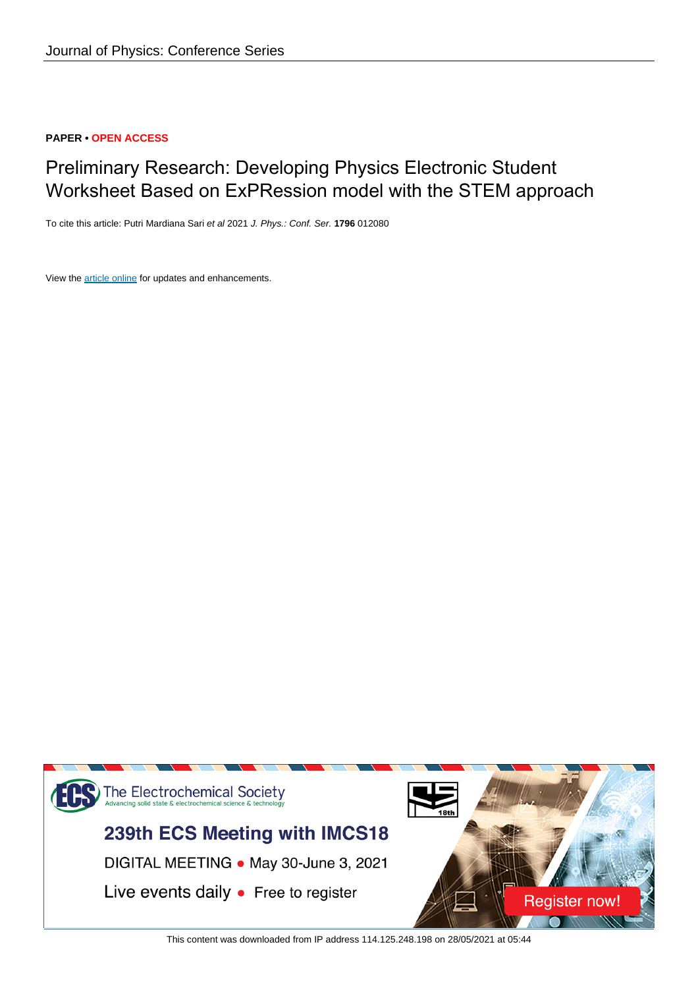### **PAPER • OPEN ACCESS**

# Preliminary Research: Developing Physics Electronic Student Worksheet Based on ExPRession model with the STEM approach

To cite this article: Putri Mardiana Sari et al 2021 J. Phys.: Conf. Ser. **1796** 012080

View the [article online](https://doi.org/10.1088/1742-6596/1796/1/012080) for updates and enhancements.



This content was downloaded from IP address 114.125.248.198 on 28/05/2021 at 05:44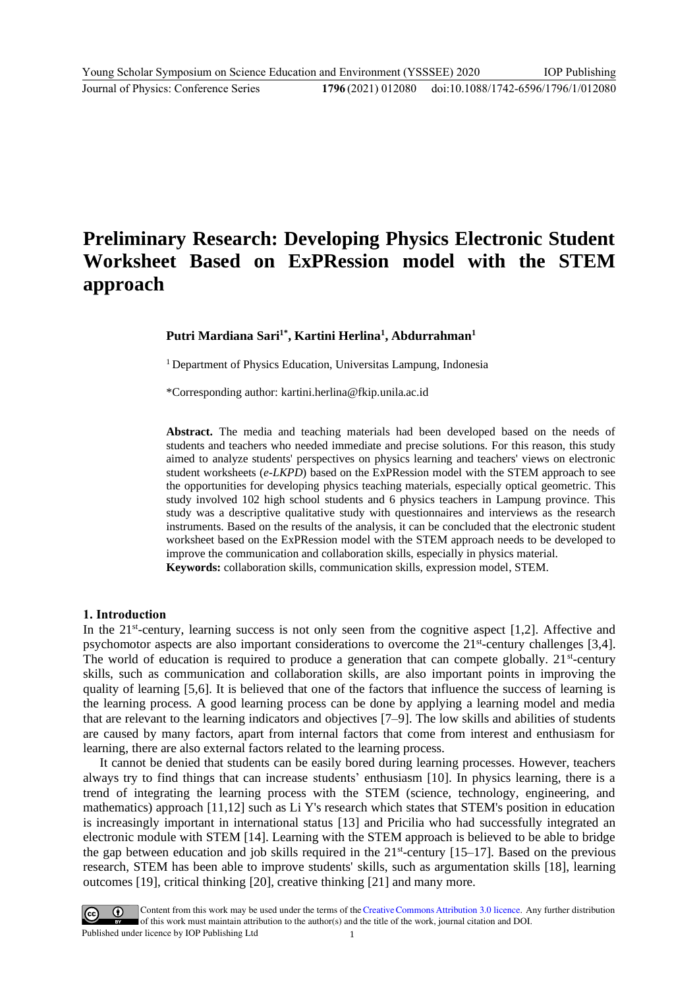# **Preliminary Research: Developing Physics Electronic Student Worksheet Based on ExPRession model with the STEM approach**

**Putri Mardiana Sari1\* , Kartini Herlina<sup>1</sup> , Abdurrahman<sup>1</sup>**

<sup>1</sup> Department of Physics Education, Universitas Lampung, Indonesia

\*Corresponding author: kartini.herlina@fkip.unila.ac.id

**Abstract.** The media and teaching materials had been developed based on the needs of students and teachers who needed immediate and precise solutions. For this reason, this study aimed to analyze students' perspectives on physics learning and teachers' views on electronic student worksheets (*e-LKPD*) based on the ExPRession model with the STEM approach to see the opportunities for developing physics teaching materials, especially optical geometric. This study involved 102 high school students and 6 physics teachers in Lampung province. This study was a descriptive qualitative study with questionnaires and interviews as the research instruments. Based on the results of the analysis, it can be concluded that the electronic student worksheet based on the ExPRession model with the STEM approach needs to be developed to improve the communication and collaboration skills, especially in physics material. **Keywords:** collaboration skills, communication skills, expression model, STEM.

#### **1. Introduction**

In the 21<sup>st</sup>-century, learning success is not only seen from the cognitive aspect [1,2]. Affective and psychomotor aspects are also important considerations to overcome the 21<sup>st</sup>-century challenges [3,4]. The world of education is required to produce a generation that can compete globally.  $21^{st}$ -century skills, such as communication and collaboration skills, are also important points in improving the quality of learning [5,6]. It is believed that one of the factors that influence the success of learning is the learning process. A good learning process can be done by applying a learning model and media that are relevant to the learning indicators and objectives [7–9]. The low skills and abilities of students are caused by many factors, apart from internal factors that come from interest and enthusiasm for learning, there are also external factors related to the learning process.

It cannot be denied that students can be easily bored during learning processes. However, teachers always try to find things that can increase students' enthusiasm [10]. In physics learning, there is a trend of integrating the learning process with the STEM (science, technology, engineering, and mathematics) approach [11,12] such as Li Y's research which states that STEM's position in education is increasingly important in international status [13] and Pricilia who had successfully integrated an electronic module with STEM [14]. Learning with the STEM approach is believed to be able to bridge the gap between education and job skills required in the  $21<sup>st</sup>$ -century [15–17]. Based on the previous research, STEM has been able to improve students' skills, such as argumentation skills [18], learning outcomes [19], critical thinking [20], creative thinking [21] and many more.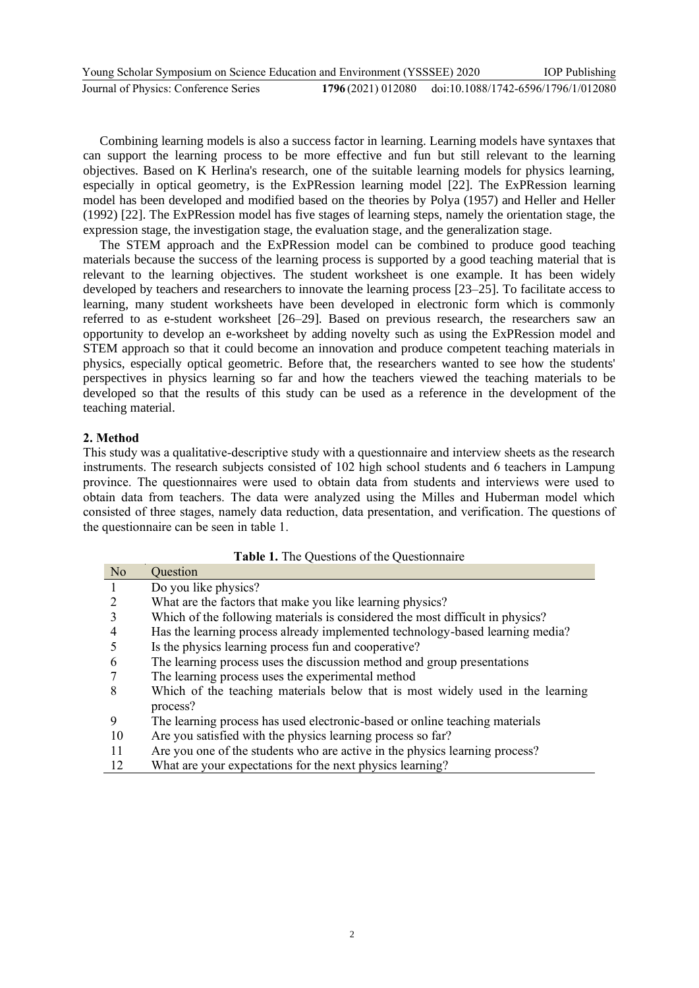| Young Scholar Symposium on Science Education and Environment (YSSSEE) 2020 |                                                       | <b>IOP</b> Publishing |
|----------------------------------------------------------------------------|-------------------------------------------------------|-----------------------|
| Journal of Physics: Conference Series                                      | 1796(2021) 012080 doi:10.1088/1742-6596/1796/1/012080 |                       |

Combining learning models is also a success factor in learning. Learning models have syntaxes that can support the learning process to be more effective and fun but still relevant to the learning objectives. Based on K Herlina's research, one of the suitable learning models for physics learning, especially in optical geometry, is the ExPRession learning model [22]. The ExPRession learning model has been developed and modified based on the theories by Polya (1957) and Heller and Heller (1992) [22]. The ExPRession model has five stages of learning steps, namely the orientation stage, the expression stage, the investigation stage, the evaluation stage, and the generalization stage.

The STEM approach and the ExPRession model can be combined to produce good teaching materials because the success of the learning process is supported by a good teaching material that is relevant to the learning objectives. The student worksheet is one example. It has been widely developed by teachers and researchers to innovate the learning process [23–25]. To facilitate access to learning, many student worksheets have been developed in electronic form which is commonly referred to as e-student worksheet [26–29]. Based on previous research, the researchers saw an opportunity to develop an e-worksheet by adding novelty such as using the ExPRession model and STEM approach so that it could become an innovation and produce competent teaching materials in physics, especially optical geometric. Before that, the researchers wanted to see how the students' perspectives in physics learning so far and how the teachers viewed the teaching materials to be developed so that the results of this study can be used as a reference in the development of the teaching material.

#### **2. Method**

This study was a qualitative-descriptive study with a questionnaire and interview sheets as the research instruments. The research subjects consisted of 102 high school students and 6 teachers in Lampung province. The questionnaires were used to obtain data from students and interviews were used to obtain data from teachers. The data were analyzed using the Milles and Huberman model which consisted of three stages, namely data reduction, data presentation, and verification. The questions of the questionnaire can be seen in table 1.

| N <sub>o</sub> | Question                                                                       |
|----------------|--------------------------------------------------------------------------------|
| $\mathbf{1}$   | Do you like physics?                                                           |
| 2              | What are the factors that make you like learning physics?                      |
| 3              | Which of the following materials is considered the most difficult in physics?  |
| $\overline{4}$ | Has the learning process already implemented technology-based learning media?  |
| 5              | Is the physics learning process fun and cooperative?                           |
| -6             | The learning process uses the discussion method and group presentations        |
|                | The learning process uses the experimental method                              |
| 8              | Which of the teaching materials below that is most widely used in the learning |
|                | process?                                                                       |
| 9              | The learning process has used electronic-based or online teaching materials    |
| -10            | Are you satisfied with the physics learning process so far?                    |
| -11            | Are you one of the students who are active in the physics learning process?    |
| 12             | What are your expectations for the next physics learning?                      |

**Table 1.** The Questions of the Questionnaire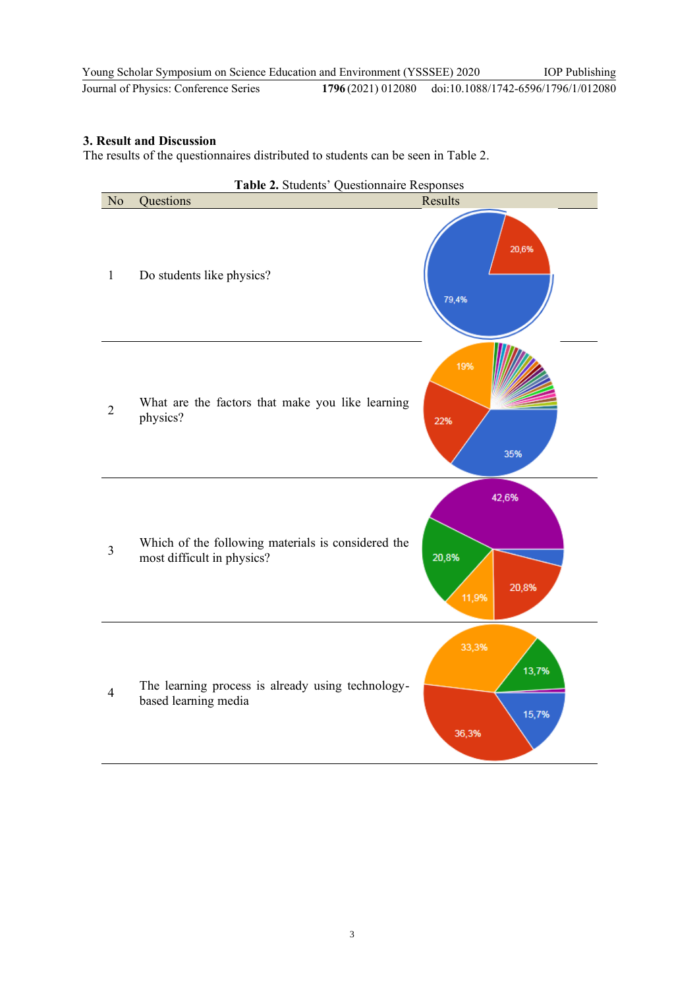| Young Scholar Symposium on Science Education and Environment (YSSSEE) 2020 |                                                       | <b>IOP</b> Publishing |
|----------------------------------------------------------------------------|-------------------------------------------------------|-----------------------|
| Journal of Physics: Conference Series                                      | 1796(2021) 012080 doi:10.1088/1742-6596/1796/1/012080 |                       |

### **3. Result and Discussion**

The results of the questionnaires distributed to students can be seen in Table 2.

|                | Table 2. Students' Questionnaire Responses                                       |                                  |
|----------------|----------------------------------------------------------------------------------|----------------------------------|
| No             | Questions                                                                        | Results                          |
| $\mathbf{1}$   | Do students like physics?                                                        | 20,6%<br>79,4%                   |
| $\overline{2}$ | What are the factors that make you like learning<br>physics?                     | 19%<br>22%<br>35%                |
| 3              | Which of the following materials is considered the<br>most difficult in physics? | 42,6%<br>20,8%<br>20,8%<br>11,9% |
| $\overline{4}$ | The learning process is already using technology-<br>based learning media        | 33,3%<br>13,7%<br>15,7%<br>36,3% |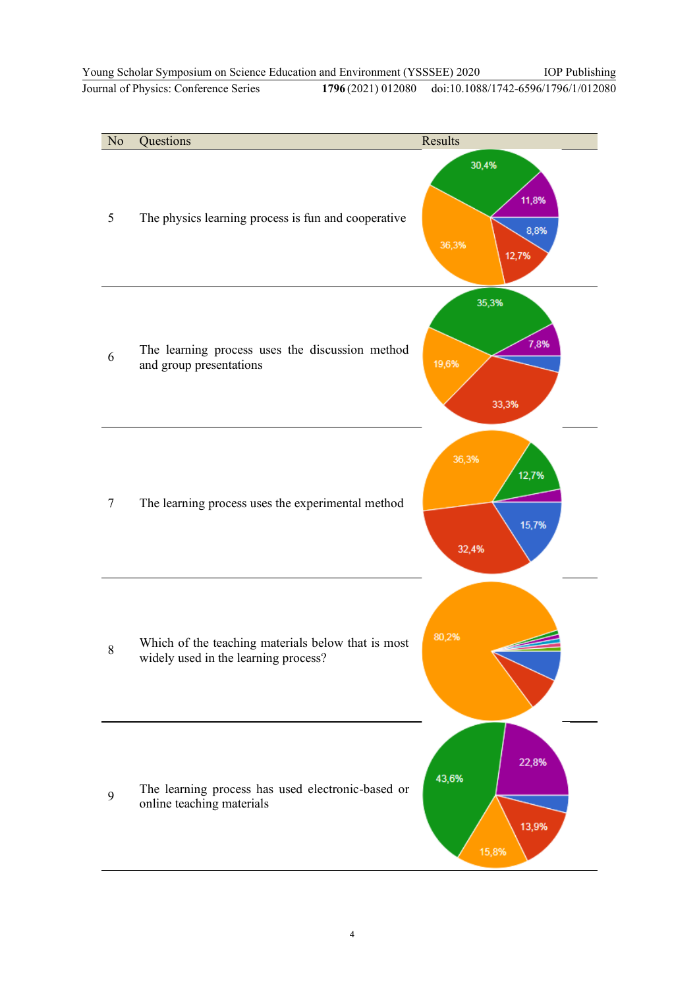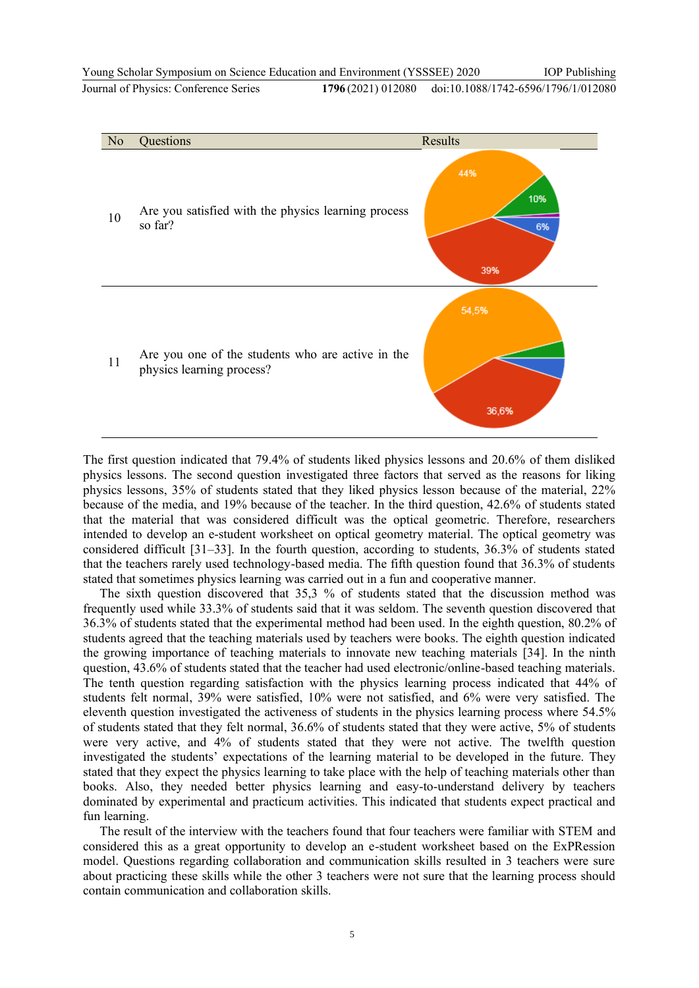

The first question indicated that 79.4% of students liked physics lessons and 20.6% of them disliked physics lessons. The second question investigated three factors that served as the reasons for liking physics lessons, 35% of students stated that they liked physics lesson because of the material, 22% because of the media, and 19% because of the teacher. In the third question, 42.6% of students stated that the material that was considered difficult was the optical geometric. Therefore, researchers intended to develop an e-student worksheet on optical geometry material. The optical geometry was considered difficult [31–33]. In the fourth question, according to students, 36.3% of students stated that the teachers rarely used technology-based media. The fifth question found that 36.3% of students stated that sometimes physics learning was carried out in a fun and cooperative manner.

The sixth question discovered that 35,3 % of students stated that the discussion method was frequently used while 33.3% of students said that it was seldom. The seventh question discovered that 36.3% of students stated that the experimental method had been used. In the eighth question, 80.2% of students agreed that the teaching materials used by teachers were books. The eighth question indicated the growing importance of teaching materials to innovate new teaching materials [34]. In the ninth question, 43.6% of students stated that the teacher had used electronic/online-based teaching materials. The tenth question regarding satisfaction with the physics learning process indicated that 44% of students felt normal, 39% were satisfied, 10% were not satisfied, and 6% were very satisfied. The eleventh question investigated the activeness of students in the physics learning process where 54.5% of students stated that they felt normal, 36.6% of students stated that they were active, 5% of students were very active, and 4% of students stated that they were not active. The twelfth question investigated the students' expectations of the learning material to be developed in the future. They stated that they expect the physics learning to take place with the help of teaching materials other than books. Also, they needed better physics learning and easy-to-understand delivery by teachers dominated by experimental and practicum activities. This indicated that students expect practical and fun learning.

The result of the interview with the teachers found that four teachers were familiar with STEM and considered this as a great opportunity to develop an e-student worksheet based on the ExPRession model. Questions regarding collaboration and communication skills resulted in 3 teachers were sure about practicing these skills while the other 3 teachers were not sure that the learning process should contain communication and collaboration skills.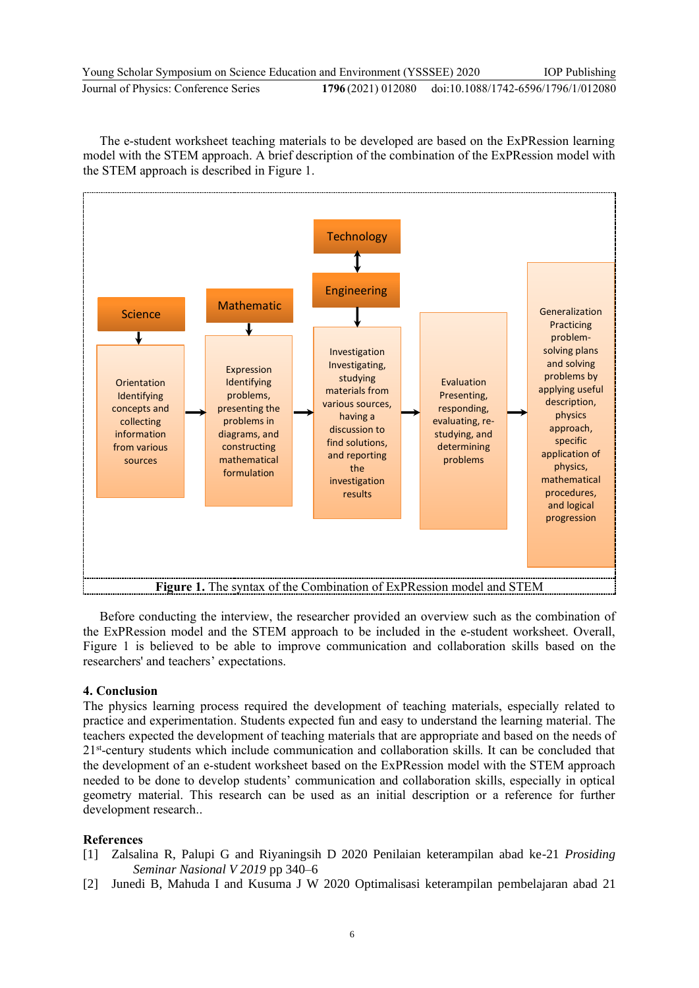| Young Scholar Symposium on Science Education and Environment (YSSSEE) 2020 |  | <b>IOP</b> Publishing                                 |
|----------------------------------------------------------------------------|--|-------------------------------------------------------|
| Journal of Physics: Conference Series                                      |  | 1796(2021) 012080 doi:10.1088/1742-6596/1796/1/012080 |

The e-student worksheet teaching materials to be developed are based on the ExPRession learning model with the STEM approach. A brief description of the combination of the ExPRession model with the STEM approach is described in Figure 1.



Before conducting the interview, the researcher provided an overview such as the combination of the ExPRession model and the STEM approach to be included in the e-student worksheet. Overall, Figure 1 is believed to be able to improve communication and collaboration skills based on the researchers' and teachers' expectations.

#### **4. Conclusion**

The physics learning process required the development of teaching materials, especially related to practice and experimentation. Students expected fun and easy to understand the learning material. The teachers expected the development of teaching materials that are appropriate and based on the needs of 21<sup>st</sup>-century students which include communication and collaboration skills. It can be concluded that the development of an e-student worksheet based on the ExPRession model with the STEM approach needed to be done to develop students' communication and collaboration skills, especially in optical geometry material. This research can be used as an initial description or a reference for further development research..

#### **References**

- [1] Zalsalina R, Palupi G and Riyaningsih D 2020 Penilaian keterampilan abad ke-21 *Prosiding Seminar Nasional V 2019* pp 340–6
- [2] Junedi B, Mahuda I and Kusuma J W 2020 Optimalisasi keterampilan pembelajaran abad 21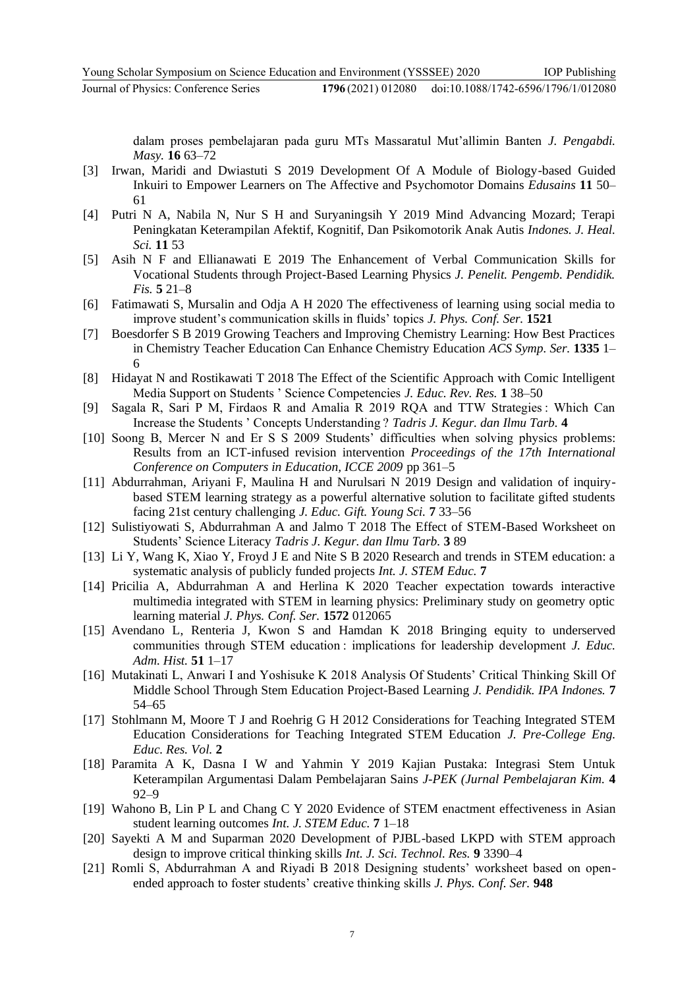dalam proses pembelajaran pada guru MTs Massaratul Mut'allimin Banten *J. Pengabdi. Masy.* **16** 63–72

- [3] Irwan, Maridi and Dwiastuti S 2019 Development Of A Module of Biology-based Guided Inkuiri to Empower Learners on The Affective and Psychomotor Domains *Edusains* **11** 50– 61
- [4] Putri N A, Nabila N, Nur S H and Suryaningsih Y 2019 Mind Advancing Mozard; Terapi Peningkatan Keterampilan Afektif, Kognitif, Dan Psikomotorik Anak Autis *Indones. J. Heal. Sci.* **11** 53
- [5] Asih N F and Ellianawati E 2019 The Enhancement of Verbal Communication Skills for Vocational Students through Project-Based Learning Physics *J. Penelit. Pengemb. Pendidik. Fis.* **5** 21–8
- [6] Fatimawati S, Mursalin and Odja A H 2020 The effectiveness of learning using social media to improve student's communication skills in fluids' topics *J. Phys. Conf. Ser.* **1521**
- [7] Boesdorfer S B 2019 Growing Teachers and Improving Chemistry Learning: How Best Practices in Chemistry Teacher Education Can Enhance Chemistry Education *ACS Symp. Ser.* **1335** 1– 6
- [8] Hidayat N and Rostikawati T 2018 The Effect of the Scientific Approach with Comic Intelligent Media Support on Students ' Science Competencies *J. Educ. Rev. Res.* **1** 38–50
- [9] Sagala R, Sari P M, Firdaos R and Amalia R 2019 RQA and TTW Strategies : Which Can Increase the Students ' Concepts Understanding ? *Tadris J. Kegur. dan Ilmu Tarb.* **4**
- [10] Soong B, Mercer N and Er S S 2009 Students' difficulties when solving physics problems: Results from an ICT-infused revision intervention *Proceedings of the 17th International Conference on Computers in Education, ICCE 2009* pp 361–5
- [11] Abdurrahman, Ariyani F, Maulina H and Nurulsari N 2019 Design and validation of inquirybased STEM learning strategy as a powerful alternative solution to facilitate gifted students facing 21st century challenging *J. Educ. Gift. Young Sci.* **7** 33–56
- [12] Sulistiyowati S, Abdurrahman A and Jalmo T 2018 The Effect of STEM-Based Worksheet on Students' Science Literacy *Tadris J. Kegur. dan Ilmu Tarb.* **3** 89
- [13] Li Y, Wang K, Xiao Y, Froyd J E and Nite S B 2020 Research and trends in STEM education: a systematic analysis of publicly funded projects *Int. J. STEM Educ.* **7**
- [14] Pricilia A, Abdurrahman A and Herlina K 2020 Teacher expectation towards interactive multimedia integrated with STEM in learning physics: Preliminary study on geometry optic learning material *J. Phys. Conf. Ser.* **1572** 012065
- [15] Avendano L, Renteria J, Kwon S and Hamdan K 2018 Bringing equity to underserved communities through STEM education : implications for leadership development *J. Educ. Adm. Hist.* **51** 1–17
- [16] Mutakinati L, Anwari I and Yoshisuke K 2018 Analysis Of Students' Critical Thinking Skill Of Middle School Through Stem Education Project-Based Learning *J. Pendidik. IPA Indones.* **7** 54–65
- [17] Stohlmann M, Moore T J and Roehrig G H 2012 Considerations for Teaching Integrated STEM Education Considerations for Teaching Integrated STEM Education *J. Pre-College Eng. Educ. Res. Vol.* **2**
- [18] Paramita A K, Dasna I W and Yahmin Y 2019 Kajian Pustaka: Integrasi Stem Untuk Keterampilan Argumentasi Dalam Pembelajaran Sains *J-PEK (Jurnal Pembelajaran Kim.* **4** 92–9
- [19] Wahono B, Lin P L and Chang C Y 2020 Evidence of STEM enactment effectiveness in Asian student learning outcomes *Int. J. STEM Educ.* **7** 1–18
- [20] Sayekti A M and Suparman 2020 Development of PJBL-based LKPD with STEM approach design to improve critical thinking skills *Int. J. Sci. Technol. Res.* **9** 3390–4
- [21] Romli S, Abdurrahman A and Riyadi B 2018 Designing students' worksheet based on openended approach to foster students' creative thinking skills *J. Phys. Conf. Ser.* **948**